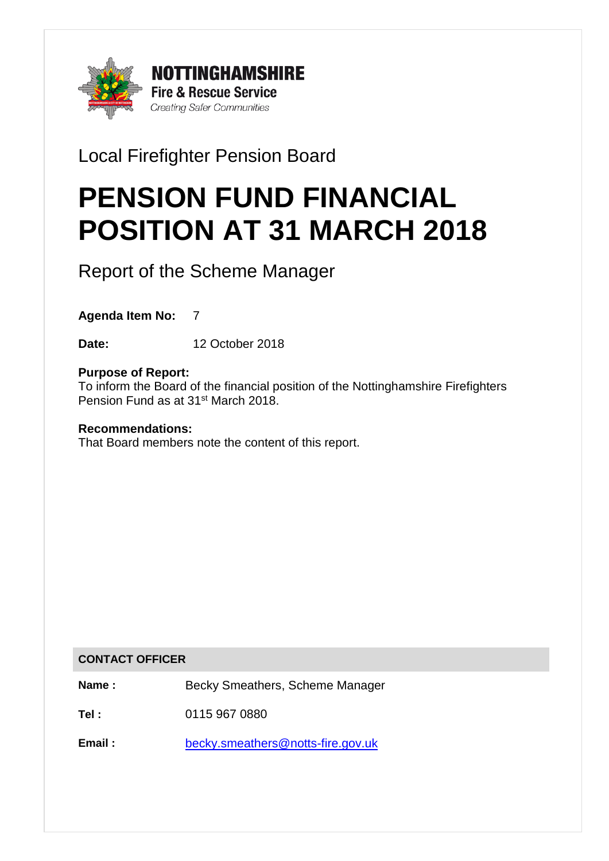

Local Firefighter Pension Board

# PENSION FUND FINANCIAL POSITION AT 31 MARCH 2018

Report of the Scheme Manager

**Agenda Item No:** 7

**Date:** 12 October 2018

## **Purpose of Report:**

To inform the Board of the financial position of the Nottinghamshire Firefighters Pension Fund as at 31<sup>st</sup> March 2018.

## **Recommendations:**

That Board members note the content of this report.

#### **CONTACT OFFICER**

**Name :** Becky Smeathers, Scheme Manager

**Tel :** 0115 967 0880

**Email :** [becky.smeathers@notts-fire.gov.uk](mailto:becky.smeathers@notts-fire.gov.uk)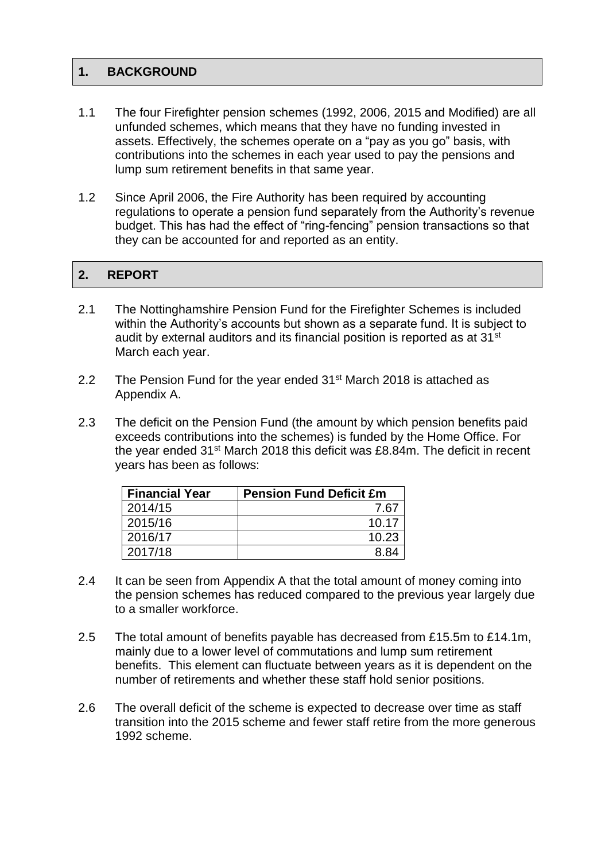## **1. BACKGROUND**

- 1.1 The four Firefighter pension schemes (1992, 2006, 2015 and Modified) are all unfunded schemes, which means that they have no funding invested in assets. Effectively, the schemes operate on a "pay as you go" basis, with contributions into the schemes in each year used to pay the pensions and lump sum retirement benefits in that same year.
- 1.2 Since April 2006, the Fire Authority has been required by accounting regulations to operate a pension fund separately from the Authority's revenue budget. This has had the effect of "ring-fencing" pension transactions so that they can be accounted for and reported as an entity.

## 2. REPORT

- 2.1 The Nottinghamshire Pension Fund for the Firefighter Schemes is included within the Authority's accounts but shown as a separate fund. It is subject to audit by external auditors and its financial position is reported as at 31<sup>st</sup> March each year.
- 2.2 The Pension Fund for the year ended  $31<sup>st</sup>$  March 2018 is attached as Appendix A.
- 2.3 The deficit on the Pension Fund (the amount by which pension benefits paid exceeds contributions into the schemes) is funded by the Home Office. For the year ended 31<sup>st</sup> March 2018 this deficit was £8.84m. The deficit in recent years has been as follows:

| <b>Financial Year</b> | <b>Pension Fund Deficit £m</b> |  |
|-----------------------|--------------------------------|--|
| 2014/15               | 7.67                           |  |
| 2015/16               | 10.17                          |  |
| 2016/17               | 10.23                          |  |
| 2017/18               | 88.                            |  |

- 2.4 It can be seen from Appendix A that the total amount of money coming into the pension schemes has reduced compared to the previous year largely due to a smaller workforce.
- 2.5 The total amount of benefits payable has decreased from £15.5m to £14.1m, mainly due to a lower level of commutations and lump sum retirement benefits. This element can fluctuate between years as it is dependent on the number of retirements and whether these staff hold senior positions.
- 2.6 The overall deficit of the scheme is expected to decrease over time as staff transition into the 2015 scheme and fewer staff retire from the more generous 1992 scheme.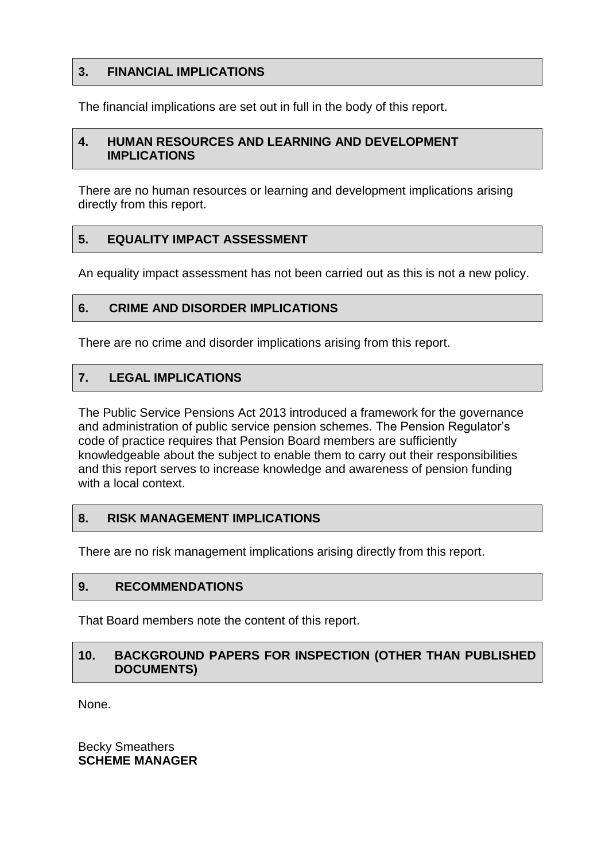## **3. FINANCIAL IMPLICATIONS**

The financial implications are set out in full in the body of this report.

#### **4. HUMAN RESOURCES AND LEARNING AND DEVELOPMENT IMPLICATIONS**

There are no human resources or learning and development implications arising directly from this report.

## **5. EQUALITY IMPACT ASSESSMENT**

An equality impact assessment has not been carried out as this is not a new policy.

#### **6. CRIME AND DISORDER IMPLICATIONS**

There are no crime and disorder implications arising from this report.

## **7. LEGAL IMPLICATIONS**

The Public Service Pensions Act 2013 introduced a framework for the governance and administration of public service pension schemes. The Pension Regulator's code of practice requires that Pension Board members are sufficiently knowledgeable about the subject to enable them to carry out their responsibilities and this report serves to increase knowledge and awareness of pension funding with a local context.

#### **8. RISK MANAGEMENT IMPLICATIONS**

There are no risk management implications arising directly from this report.

#### **9. RECOMMENDATIONS**

That Board members note the content of this report.

## **10. BACKGROUND PAPERS FOR INSPECTION (OTHER THAN PUBLISHED DOCUMENTS)**

None.

Becky Smeathers **SCHEME MANAGER**